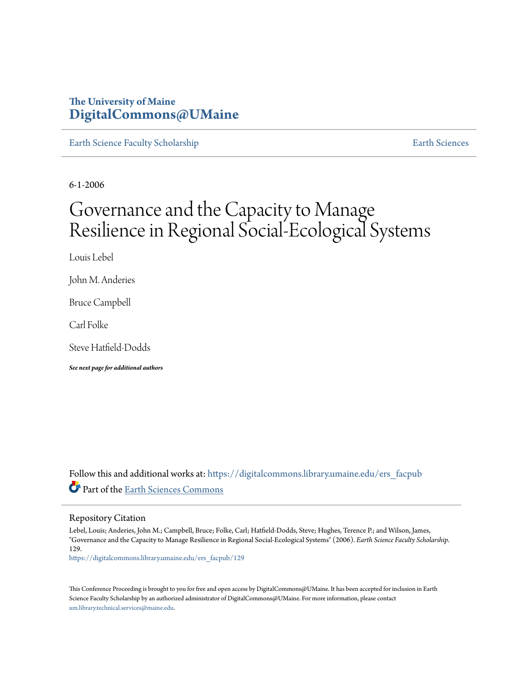# **The University of Maine [DigitalCommons@UMaine](https://digitalcommons.library.umaine.edu?utm_source=digitalcommons.library.umaine.edu%2Fers_facpub%2F129&utm_medium=PDF&utm_campaign=PDFCoverPages)**

[Earth Science Faculty Scholarship](https://digitalcommons.library.umaine.edu/ers_facpub?utm_source=digitalcommons.library.umaine.edu%2Fers_facpub%2F129&utm_medium=PDF&utm_campaign=PDFCoverPages) **[Earth Sciences](https://digitalcommons.library.umaine.edu/ers?utm_source=digitalcommons.library.umaine.edu%2Fers_facpub%2F129&utm_medium=PDF&utm_campaign=PDFCoverPages)** 

6-1-2006

# Governance and the Capacity to Manage Resilience in Regional Social-Ecological Systems

Louis Lebel

John M. Anderies

Bruce Campbell

Carl Folke

Steve Hatfield-Dodds

*See next page for additional authors*

Follow this and additional works at: [https://digitalcommons.library.umaine.edu/ers\\_facpub](https://digitalcommons.library.umaine.edu/ers_facpub?utm_source=digitalcommons.library.umaine.edu%2Fers_facpub%2F129&utm_medium=PDF&utm_campaign=PDFCoverPages) Part of the [Earth Sciences Commons](http://network.bepress.com/hgg/discipline/153?utm_source=digitalcommons.library.umaine.edu%2Fers_facpub%2F129&utm_medium=PDF&utm_campaign=PDFCoverPages)

#### Repository Citation

Lebel, Louis; Anderies, John M.; Campbell, Bruce; Folke, Carl; Hatfield-Dodds, Steve; Hughes, Terence P.; and Wilson, James, "Governance and the Capacity to Manage Resilience in Regional Social-Ecological Systems" (2006). *Earth Science Faculty Scholarship*. 129.

[https://digitalcommons.library.umaine.edu/ers\\_facpub/129](https://digitalcommons.library.umaine.edu/ers_facpub/129?utm_source=digitalcommons.library.umaine.edu%2Fers_facpub%2F129&utm_medium=PDF&utm_campaign=PDFCoverPages)

This Conference Proceeding is brought to you for free and open access by DigitalCommons@UMaine. It has been accepted for inclusion in Earth Science Faculty Scholarship by an authorized administrator of DigitalCommons@UMaine. For more information, please contact [um.library.technical.services@maine.edu](mailto:um.library.technical.services@maine.edu).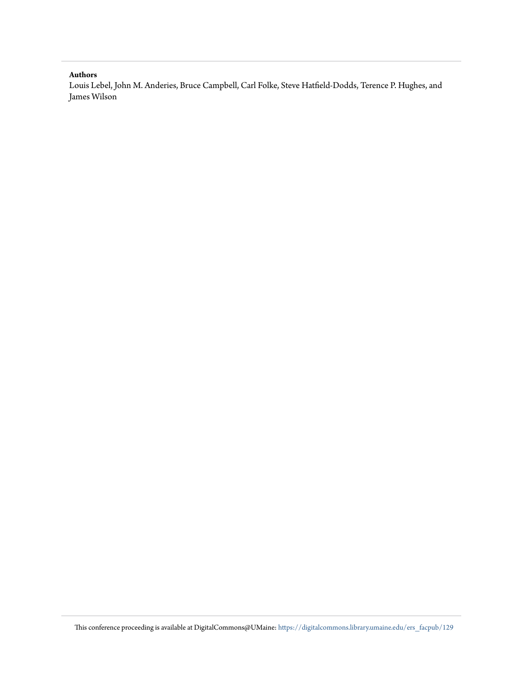#### **Authors**

Louis Lebel, John M. Anderies, Bruce Campbell, Carl Folke, Steve Hatfield-Dodds, Terence P. Hughes, and James Wilson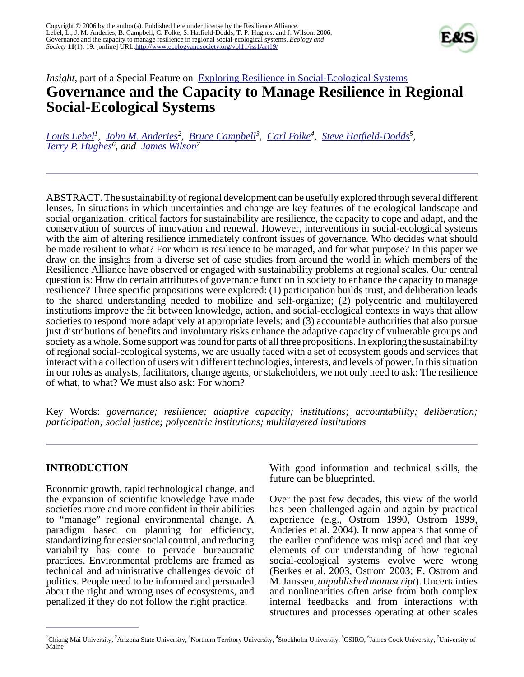# *Insight*, part of a Special Feature on [Exploring Resilience in Social-Ecological Systems](http://www.ecologyandsociety.org/viewissue.php?sf=22) **Governance and the Capacity to Manage Resilience in Regional Social-Ecological Systems**

*[Louis Lebel](mailto:llebel@loxinfo.co.th)<sup>1</sup> , [John M. Anderies](mailto:m.anderies@asu.edu)<sup>2</sup> , [Bruce Campbell](mailto:b_campbell@site.ntu.edu.au)<sup>3</sup> , [Carl Folke](mailto:calle@system.ecology.su.se)<sup>4</sup> , [Steve Hatfield-Dodds](mailto:Steve.Hatfield.Dodds@csiro.au)<sup>5</sup> , Terry P. Hughes<sup>6</sup> [, and James Wilson](mailto:terry.hughes@jcu.edu.au)<sup>7</sup>*

ABSTRACT. The sustainability of regional development can be usefully explored through several different lenses. In situations in which uncertainties and change are key features of the ecological landscape and social organization, critical factors for sustainability are resilience, the capacity to cope and adapt, and the conservation of sources of innovation and renewal. However, interventions in social-ecological systems with the aim of altering resilience immediately confront issues of governance. Who decides what should be made resilient to what? For whom is resilience to be managed, and for what purpose? In this paper we draw on the insights from a diverse set of case studies from around the world in which members of the Resilience Alliance have observed or engaged with sustainability problems at regional scales. Our central question is: How do certain attributes of governance function in society to enhance the capacity to manage resilience? Three specific propositions were explored: (1) participation builds trust, and deliberation leads to the shared understanding needed to mobilize and self-organize; (2) polycentric and multilayered institutions improve the fit between knowledge, action, and social-ecological contexts in ways that allow societies to respond more adaptively at appropriate levels; and (3) accountable authorities that also pursue just distributions of benefits and involuntary risks enhance the adaptive capacity of vulnerable groups and society as a whole. Some support was found for parts of all three propositions. In exploring the sustainability of regional social-ecological systems, we are usually faced with a set of ecosystem goods and services that interact with a collection of users with different technologies, interests, and levels of power. In this situation in our roles as analysts, facilitators, change agents, or stakeholders, we not only need to ask: The resilience of what, to what? We must also ask: For whom?

Key Words: *governance; resilience; adaptive capacity; institutions; accountability; deliberation; participation; social justice; polycentric institutions; multilayered institutions*

#### **INTRODUCTION**

Economic growth, rapid technological change, and the expansion of scientific knowledge have made societies more and more confident in their abilities to "manage" regional environmental change. A paradigm based on planning for efficiency, standardizing for easier social control, and reducing variability has come to pervade bureaucratic practices. Environmental problems are framed as technical and administrative challenges devoid of politics. People need to be informed and persuaded about the right and wrong uses of ecosystems, and penalized if they do not follow the right practice.

With good information and technical skills, the future can be blueprinted.

Over the past few decades, this view of the world has been challenged again and again by practical experience (e.g., Ostrom 1990, Ostrom 1999, Anderies et al. 2004). It now appears that some of the earlier confidence was misplaced and that key elements of our understanding of how regional social-ecological systems evolve were wrong (Berkes et al. 2003, Ostrom 2003; E. Ostrom and M. Janssen, *unpublished manuscript*). Uncertainties and nonlinearities often arise from both complex internal feedbacks and from interactions with structures and processes operating at other scales

<sup>&</sup>lt;sup>1</sup>Chiang Mai University, <sup>2</sup>Arizona State University, <sup>3</sup>Northern Territory University, <sup>4</sup>Stockholm University, <sup>5</sup>CSIRO, <sup>6</sup>James Cook University, <sup>7</sup>University of Maine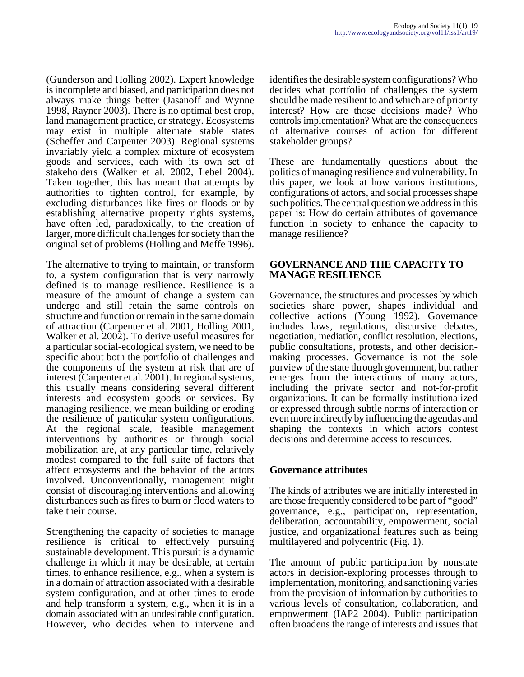(Gunderson and Holling 2002). Expert knowledge is incomplete and biased, and participation does not always make things better (Jasanoff and Wynne 1998, Rayner 2003). There is no optimal best crop, land management practice, or strategy. Ecosystems may exist in multiple alternate stable states (Scheffer and Carpenter 2003). Regional systems invariably yield a complex mixture of ecosystem goods and services, each with its own set of stakeholders (Walker et al. 2002, Lebel 2004). Taken together, this has meant that attempts by authorities to tighten control, for example, by excluding disturbances like fires or floods or by establishing alternative property rights systems, have often led, paradoxically, to the creation of larger, more difficult challenges for society than the original set of problems (Holling and Meffe 1996).

The alternative to trying to maintain, or transform to, a system configuration that is very narrowly defined is to manage resilience. Resilience is a measure of the amount of change a system can undergo and still retain the same controls on structure and function or remain in the same domain of attraction (Carpenter et al. 2001, Holling 2001, Walker et al. 2002). To derive useful measures for a particular social-ecological system, we need to be specific about both the portfolio of challenges and the components of the system at risk that are of interest (Carpenter et al. 2001). In regional systems, this usually means considering several different interests and ecosystem goods or services. By managing resilience, we mean building or eroding the resilience of particular system configurations. At the regional scale, feasible management interventions by authorities or through social mobilization are, at any particular time, relatively modest compared to the full suite of factors that affect ecosystems and the behavior of the actors involved. Unconventionally, management might consist of discouraging interventions and allowing disturbances such as fires to burn or flood waters to take their course.

Strengthening the capacity of societies to manage resilience is critical to effectively pursuing sustainable development. This pursuit is a dynamic challenge in which it may be desirable, at certain times, to enhance resilience, e.g., when a system is in a domain of attraction associated with a desirable system configuration, and at other times to erode and help transform a system, e.g., when it is in a domain associated with an undesirable configuration. However, who decides when to intervene and

identifies the desirable system configurations? Who decides what portfolio of challenges the system should be made resilient to and which are of priority interest? How are those decisions made? Who controls implementation? What are the consequences of alternative courses of action for different stakeholder groups?

These are fundamentally questions about the politics of managing resilience and vulnerability. In this paper, we look at how various institutions, configurations of actors, and social processes shape such politics. The central question we address in this paper is: How do certain attributes of governance function in society to enhance the capacity to manage resilience?

#### **GOVERNANCE AND THE CAPACITY TO MANAGE RESILIENCE**

Governance, the structures and processes by which societies share power, shapes individual and collective actions (Young 1992). Governance includes laws, regulations, discursive debates, negotiation, mediation, conflict resolution, elections, public consultations, protests, and other decisionmaking processes. Governance is not the sole purview of the state through government, but rather emerges from the interactions of many actors, including the private sector and not-for-profit organizations. It can be formally institutionalized or expressed through subtle norms of interaction or even more indirectly by influencing the agendas and shaping the contexts in which actors contest decisions and determine access to resources.

## **Governance attributes**

The kinds of attributes we are initially interested in are those frequently considered to be part of "good" governance, e.g., participation, representation, deliberation, accountability, empowerment, social justice, and organizational features such as being multilayered and polycentric (Fig. 1).

The amount of public participation by nonstate actors in decision-exploring processes through to implementation, monitoring, and sanctioning varies from the provision of information by authorities to various levels of consultation, collaboration, and empowerment (IAP2 2004). Public participation often broadens the range of interests and issues that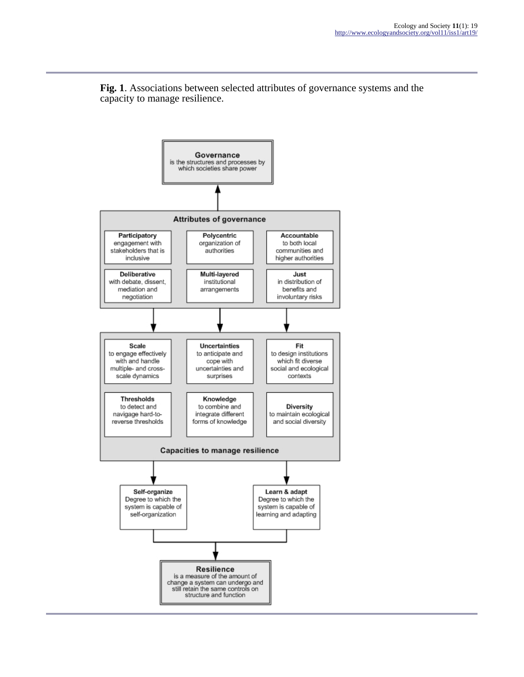

**Fig. 1**. Associations between selected attributes of governance systems and the capacity to manage resilience.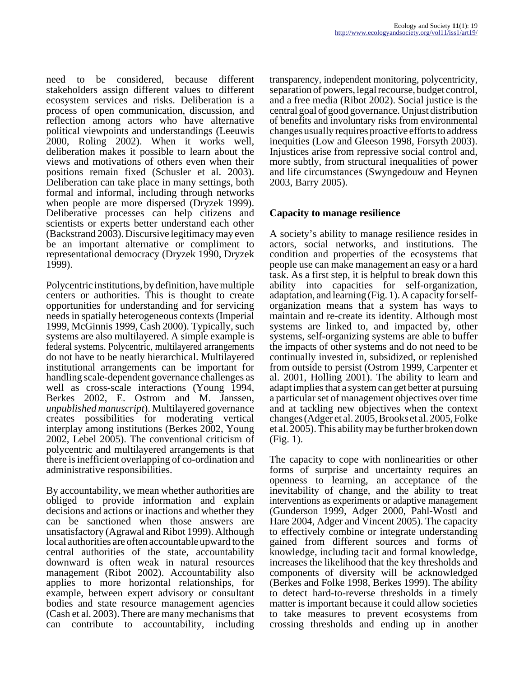need to be considered, because different stakeholders assign different values to different ecosystem services and risks. Deliberation is a process of open communication, discussion, and reflection among actors who have alternative political viewpoints and understandings (Leeuwis 2000, Roling 2002). When it works well, deliberation makes it possible to learn about the views and motivations of others even when their positions remain fixed (Schusler et al. 2003). Deliberation can take place in many settings, both formal and informal, including through networks when people are more dispersed (Dryzek 1999). Deliberative processes can help citizens and scientists or experts better understand each other (Backstrand 2003). Discursive legitimacy may even be an important alternative or compliment to representational democracy (Dryzek 1990, Dryzek 1999).

Polycentric institutions, by definition, have multiple centers or authorities. This is thought to create opportunities for understanding and for servicing needs in spatially heterogeneous contexts (Imperial 1999, McGinnis 1999, Cash 2000). Typically, such systems are also multilayered. A simple example is federal systems. Polycentric, multilayered arrangements do not have to be neatly hierarchical. Multilayered institutional arrangements can be important for handling scale-dependent governance challenges as well as cross-scale interactions (Young 1994, Berkes 2002, E. Ostrom and M. Janssen, *unpublished manuscript*). Multilayered governance creates possibilities for moderating vertical interplay among institutions (Berkes 2002, Young 2002, Lebel 2005). The conventional criticism of polycentric and multilayered arrangements is that there is inefficient overlapping of co-ordination and administrative responsibilities.

By accountability, we mean whether authorities are obliged to provide information and explain decisions and actions or inactions and whether they can be sanctioned when those answers are unsatisfactory (Agrawal and Ribot 1999). Although local authorities are often accountable upward to the central authorities of the state, accountability downward is often weak in natural resources management (Ribot 2002). Accountability also applies to more horizontal relationships, for example, between expert advisory or consultant bodies and state resource management agencies (Cash et al. 2003). There are many mechanisms that can contribute to accountability, including

transparency, independent monitoring, polycentricity, separation of powers, legal recourse, budget control, and a free media (Ribot 2002). Social justice is the central goal of good governance. Unjust distribution of benefits and involuntary risks from environmental changes usually requires proactive efforts to address inequities (Low and Gleeson 1998, Forsyth 2003). Injustices arise from repressive social control and, more subtly, from structural inequalities of power and life circumstances (Swyngedouw and Heynen 2003, Barry 2005).

## **Capacity to manage resilience**

A society's ability to manage resilience resides in actors, social networks, and institutions. The condition and properties of the ecosystems that people use can make management an easy or a hard task. As a first step, it is helpful to break down this ability into capacities for self-organization, adaptation, and learning (Fig. 1). A capacity for selforganization means that a system has ways to maintain and re-create its identity. Although most systems are linked to, and impacted by, other systems, self-organizing systems are able to buffer the impacts of other systems and do not need to be continually invested in, subsidized, or replenished from outside to persist (Ostrom 1999, Carpenter et al. 2001, Holling 2001). The ability to learn and adapt implies that a system can get better at pursuing a particular set of management objectives over time and at tackling new objectives when the context changes (Adger et al. 2005, Brooks et al. 2005, Folke et al. 2005). This ability may be further broken down (Fig. 1).

The capacity to cope with nonlinearities or other forms of surprise and uncertainty requires an openness to learning, an acceptance of the inevitability of change, and the ability to treat interventions as experiments or adaptive management (Gunderson 1999, Adger 2000, Pahl-Wostl and Hare 2004, Adger and Vincent 2005). The capacity to effectively combine or integrate understanding gained from different sources and forms of knowledge, including tacit and formal knowledge, increases the likelihood that the key thresholds and components of diversity will be acknowledged (Berkes and Folke 1998, Berkes 1999). The ability to detect hard-to-reverse thresholds in a timely matter is important because it could allow societies to take measures to prevent ecosystems from crossing thresholds and ending up in another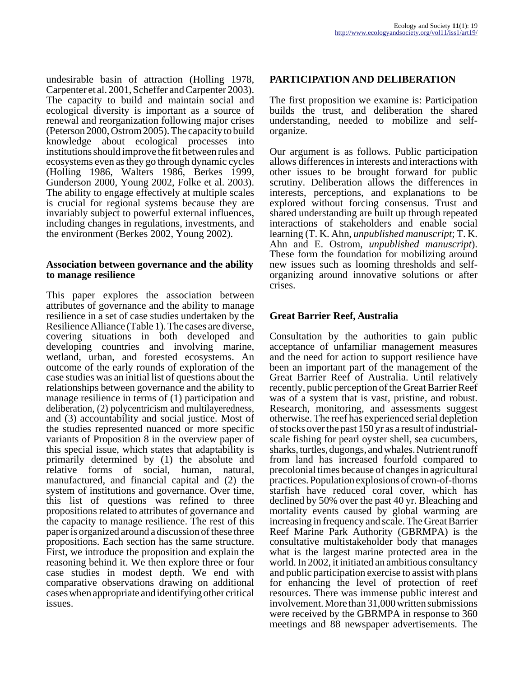undesirable basin of attraction (Holling 1978, Carpenter et al. 2001, Scheffer and Carpenter 2003). The capacity to build and maintain social and ecological diversity is important as a source of renewal and reorganization following major crises (Peterson 2000, Ostrom 2005). The capacity to build knowledge about ecological processes into institutions should improve the fit between rules and ecosystems even as they go through dynamic cycles (Holling 1986, Walters 1986, Berkes 1999, Gunderson 2000, Young 2002, Folke et al. 2003). The ability to engage effectively at multiple scales is crucial for regional systems because they are invariably subject to powerful external influences, including changes in regulations, investments, and the environment (Berkes 2002, Young 2002).

#### **Association between governance and the ability to manage resilience**

This paper explores the association between attributes of governance and the ability to manage resilience in a set of case studies undertaken by the Resilience Alliance (Table 1). The cases are diverse, covering situations in both developed and developing countries and involving marine, wetland, urban, and forested ecosystems. An outcome of the early rounds of exploration of the case studies was an initial list of questions about the relationships between governance and the ability to manage resilience in terms of (1) participation and deliberation, (2) polycentricism and multilayeredness, and (3) accountability and social justice. Most of the studies represented nuanced or more specific variants of Proposition 8 in the overview paper of this special issue, which states that adaptability is primarily determined by (1) the absolute and relative forms of social, human, natural, manufactured, and financial capital and (2) the system of institutions and governance. Over time, this list of questions was refined to three propositions related to attributes of governance and the capacity to manage resilience. The rest of this paper is organized around a discussion of these three propositions. Each section has the same structure. First, we introduce the proposition and explain the reasoning behind it. We then explore three or four case studies in modest depth. We end with comparative observations drawing on additional cases when appropriate and identifying other critical issues.

# **PARTICIPATION AND DELIBERATION**

The first proposition we examine is: Participation builds the trust, and deliberation the shared understanding, needed to mobilize and selforganize.

Our argument is as follows. Public participation allows differences in interests and interactions with other issues to be brought forward for public scrutiny. Deliberation allows the differences in interests, perceptions, and explanations to be explored without forcing consensus. Trust and shared understanding are built up through repeated interactions of stakeholders and enable social learning (T. K. Ahn, *unpublished manuscript*; T. K. Ahn and E. Ostrom, *unpublished manuscript*). These form the foundation for mobilizing around new issues such as looming thresholds and selforganizing around innovative solutions or after crises.

# **Great Barrier Reef, Australia**

Consultation by the authorities to gain public acceptance of unfamiliar management measures and the need for action to support resilience have been an important part of the management of the Great Barrier Reef of Australia. Until relatively recently, public perception of the Great Barrier Reef was of a system that is vast, pristine, and robust. Research, monitoring, and assessments suggest otherwise. The reef has experienced serial depletion of stocks over the past 150 yr as a result of industrialscale fishing for pearl oyster shell, sea cucumbers, sharks, turtles, dugongs, and whales. Nutrient runoff from land has increased fourfold compared to precolonial times because of changes in agricultural practices. Population explosions of crown-of-thorns starfish have reduced coral cover, which has declined by 50% over the past 40 yr. Bleaching and mortality events caused by global warming are increasing in frequency and scale. The Great Barrier Reef Marine Park Authority (GBRMPA) is the consultative multistakeholder body that manages what is the largest marine protected area in the world. In 2002, it initiated an ambitious consultancy and public participation exercise to assist with plans for enhancing the level of protection of reef resources. There was immense public interest and involvement. More than 31,000 written submissions were received by the GBRMPA in response to 360 meetings and 88 newspaper advertisements. The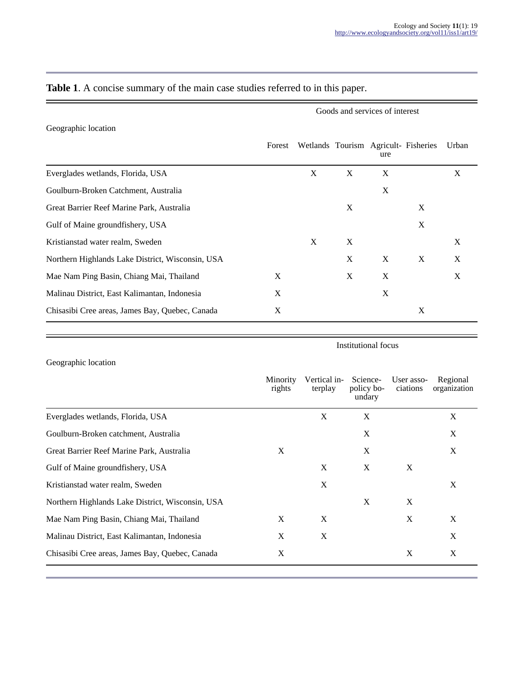|                                                  | Forest |   |   | Wetlands Tourism Agricult- Fisheries<br>ure |   | Urban |
|--------------------------------------------------|--------|---|---|---------------------------------------------|---|-------|
| Everglades wetlands, Florida, USA                |        | X | X | X                                           |   | X     |
| Goulburn-Broken Catchment, Australia             |        |   |   | X                                           |   |       |
| Great Barrier Reef Marine Park, Australia        |        |   | X |                                             | X |       |
| Gulf of Maine groundfishery, USA                 |        |   |   |                                             | X |       |
| Kristianstad water realm, Sweden                 |        | X | X |                                             |   | X     |
| Northern Highlands Lake District, Wisconsin, USA |        |   | X | X                                           | X | X     |
| Mae Nam Ping Basin, Chiang Mai, Thailand         | X      |   | X | X                                           |   | X     |
| Malinau District, East Kalimantan, Indonesia     | X      |   |   | X                                           |   |       |
| Chisasibi Cree areas, James Bay, Quebec, Canada  | X      |   |   |                                             | X |       |

# **Table 1**. A concise summary of the main case studies referred to in this paper.

Geographic location

 $=$ 

Institutional focus

Goods and services of interest

Geographic location

|                                                  | Minority<br>rights | Vertical in-<br>terplay | Science-<br>policy bo-<br>undary | User asso-<br>ciations | Regional<br>organization |
|--------------------------------------------------|--------------------|-------------------------|----------------------------------|------------------------|--------------------------|
| Everglades wetlands, Florida, USA                |                    | X                       | X                                |                        | X                        |
| Goulburn-Broken catchment, Australia             |                    |                         | X                                |                        | X                        |
| Great Barrier Reef Marine Park, Australia        | X                  |                         | X                                |                        | X                        |
| Gulf of Maine groundfishery, USA                 |                    | X                       | X                                | X                      |                          |
| Kristianstad water realm, Sweden                 |                    | X                       |                                  |                        | X                        |
| Northern Highlands Lake District, Wisconsin, USA |                    |                         | X                                | X                      |                          |
| Mae Nam Ping Basin, Chiang Mai, Thailand         | X                  | X                       |                                  | X                      | X                        |
| Malinau District, East Kalimantan, Indonesia     | X                  | X                       |                                  |                        | X                        |
| Chisasibi Cree areas, James Bay, Quebec, Canada  | X                  |                         |                                  | X                      | X                        |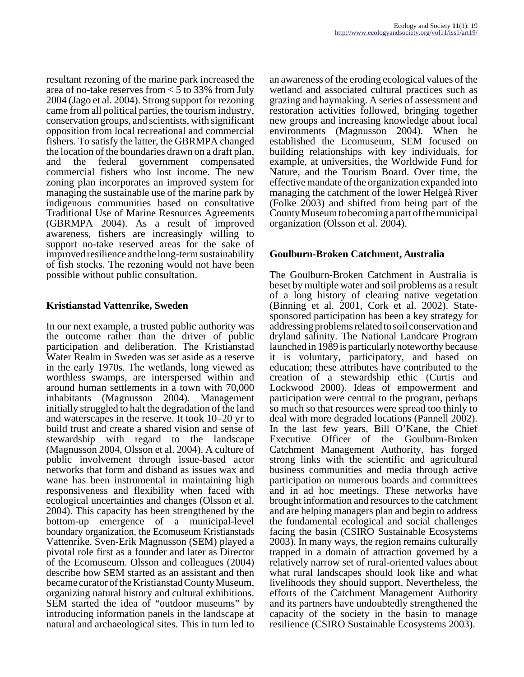resultant rezoning of the marine park increased the area of no-take reserves from  $<$  5 to 33% from July 2004 (Jago et al. 2004). Strong support for rezoning came from all political parties, the tourism industry, conservation groups, and scientists, with significant opposition from local recreational and commercial fishers. To satisfy the latter, the GBRMPA changed the location of the boundaries drawn on a draft plan, and the federal government compensated commercial fishers who lost income. The new zoning plan incorporates an improved system for managing the sustainable use of the marine park by indigenous communities based on consultative Traditional Use of Marine Resources Agreements (GBRMPA 2004). As a result of improved awareness, fishers are increasingly willing to support no-take reserved areas for the sake of improved resilience and the long-term sustainability of fish stocks. The rezoning would not have been possible without public consultation.

# **Kristianstad Vattenrike, Sweden**

In our next example, a trusted public authority was the outcome rather than the driver of public participation and deliberation. The Kristianstad Water Realm in Sweden was set aside as a reserve in the early 1970s. The wetlands, long viewed as worthless swamps, are interspersed within and around human settlements in a town with 70,000 inhabitants (Magnusson 2004). Management initially struggled to halt the degradation of the land and waterscapes in the reserve. It took 10–20 yr to build trust and create a shared vision and sense of stewardship with regard to the landscape (Magnusson 2004, Olsson et al. 2004). A culture of public involvement through issue-based actor networks that form and disband as issues wax and wane has been instrumental in maintaining high responsiveness and flexibility when faced with ecological uncertainties and changes (Olsson et al. 2004). This capacity has been strengthened by the bottom-up emergence of a municipal-level boundary organization, the Ecomuseum Kristianstads Vattenrike. Sven-Erik Magnusson (SEM) played a pivotal role first as a founder and later as Director of the Ecomuseum. Olsson and colleagues (2004) describe how SEM started as an assistant and then became curator of the Kristianstad County Museum, organizing natural history and cultural exhibitions. SEM started the idea of "outdoor museums" by introducing information panels in the landscape at natural and archaeological sites. This in turn led to

an awareness of the eroding ecological values of the wetland and associated cultural practices such as grazing and haymaking. A series of assessment and restoration activities followed, bringing together new groups and increasing knowledge about local environments (Magnusson 2004). When he established the Ecomuseum, SEM focused on building relationships with key individuals, for example, at universities, the Worldwide Fund for Nature, and the Tourism Board. Over time, the effective mandate of the organization expanded into managing the catchment of the lower Helgeå River (Folke 2003) and shifted from being part of the County Museum to becoming a part of the municipal organization (Olsson et al. 2004).

# **Goulburn-Broken Catchment, Australia**

The Goulburn-Broken Catchment in Australia is beset by multiple water and soil problems as a result of a long history of clearing native vegetation (Binning et al. 2001, Cork et al. 2002). Statesponsored participation has been a key strategy for addressing problems related to soil conservation and dryland salinity. The National Landcare Program launched in 1989 is particularly noteworthy because it is voluntary, participatory, and based on education; these attributes have contributed to the creation of a stewardship ethic (Curtis and Lockwood 2000). Ideas of empowerment and participation were central to the program, perhaps so much so that resources were spread too thinly to deal with more degraded locations (Pannell 2002). In the last few years, Bill O'Kane, the Chief Executive Officer of the Goulburn-Broken Catchment Management Authority, has forged strong links with the scientific and agricultural business communities and media through active participation on numerous boards and committees and in ad hoc meetings. These networks have brought information and resources to the catchment and are helping managers plan and begin to address the fundamental ecological and social challenges facing the basin (CSIRO Sustainable Ecosystems 2003). In many ways, the region remains culturally trapped in a domain of attraction governed by a relatively narrow set of rural-oriented values about what rural landscapes should look like and what livelihoods they should support. Nevertheless, the efforts of the Catchment Management Authority and its partners have undoubtedly strengthened the capacity of the society in the basin to manage resilience (CSIRO Sustainable Ecosystems 2003).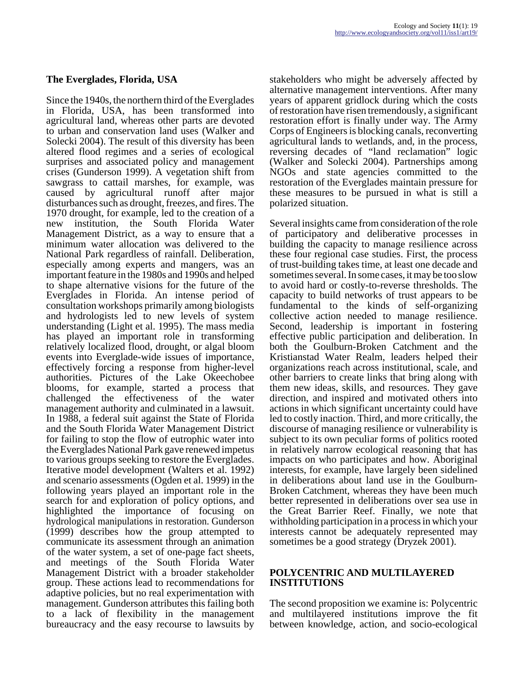#### **The Everglades, Florida, USA**

Since the 1940s, the northern third of the Everglades in Florida, USA, has been transformed into agricultural land, whereas other parts are devoted to urban and conservation land uses (Walker and Solecki 2004). The result of this diversity has been altered flood regimes and a series of ecological surprises and associated policy and management crises (Gunderson 1999). A vegetation shift from sawgrass to cattail marshes, for example, was caused by agricultural runoff after major disturbances such as drought, freezes, and fires. The 1970 drought, for example, led to the creation of a new institution, the South Florida Water Management District, as a way to ensure that a minimum water allocation was delivered to the National Park regardless of rainfall. Deliberation, especially among experts and mangers, was an important feature in the 1980s and 1990s and helped to shape alternative visions for the future of the Everglades in Florida. An intense period of consultation workshops primarily among biologists and hydrologists led to new levels of system understanding (Light et al. 1995). The mass media has played an important role in transforming relatively localized flood, drought, or algal bloom events into Everglade-wide issues of importance, effectively forcing a response from higher-level authorities. Pictures of the Lake Okeechobee blooms, for example, started a process that challenged the effectiveness of the water management authority and culminated in a lawsuit. In 1988, a federal suit against the State of Florida and the South Florida Water Management District for failing to stop the flow of eutrophic water into the Everglades National Park gave renewed impetus to various groups seeking to restore the Everglades. Iterative model development (Walters et al. 1992) and scenario assessments (Ogden et al. 1999) in the following years played an important role in the search for and exploration of policy options, and highlighted the importance of focusing on hydrological manipulations in restoration. Gunderson (1999) describes how the group attempted to communicate its assessment through an animation of the water system, a set of one-page fact sheets, and meetings of the South Florida Water Management District with a broader stakeholder group. These actions lead to recommendations for adaptive policies, but no real experimentation with management. Gunderson attributes this failing both to a lack of flexibility in the management bureaucracy and the easy recourse to lawsuits by

stakeholders who might be adversely affected by alternative management interventions. After many years of apparent gridlock during which the costs of restoration have risen tremendously, a significant restoration effort is finally under way. The Army Corps of Engineers is blocking canals, reconverting agricultural lands to wetlands, and, in the process, reversing decades of "land reclamation" logic (Walker and Solecki 2004). Partnerships among NGOs and state agencies committed to the restoration of the Everglades maintain pressure for these measures to be pursued in what is still a polarized situation.

Several insights came from consideration of the role of participatory and deliberative processes in building the capacity to manage resilience across these four regional case studies. First, the process of trust-building takes time, at least one decade and sometimes several. In some cases, it may be too slow to avoid hard or costly-to-reverse thresholds. The capacity to build networks of trust appears to be fundamental to the kinds of self-organizing collective action needed to manage resilience. Second, leadership is important in fostering effective public participation and deliberation. In both the Goulburn-Broken Catchment and the Kristianstad Water Realm, leaders helped their organizations reach across institutional, scale, and other barriers to create links that bring along with them new ideas, skills, and resources. They gave direction, and inspired and motivated others into actions in which significant uncertainty could have led to costly inaction. Third, and more critically, the discourse of managing resilience or vulnerability is subject to its own peculiar forms of politics rooted in relatively narrow ecological reasoning that has impacts on who participates and how. Aboriginal interests, for example, have largely been sidelined in deliberations about land use in the Goulburn-Broken Catchment, whereas they have been much better represented in deliberations over sea use in the Great Barrier Reef. Finally, we note that withholding participation in a process in which your interests cannot be adequately represented may sometimes be a good strategy (Dryzek 2001).

#### **POLYCENTRIC AND MULTILAYERED INSTITUTIONS**

The second proposition we examine is: Polycentric and multilayered institutions improve the fit between knowledge, action, and socio-ecological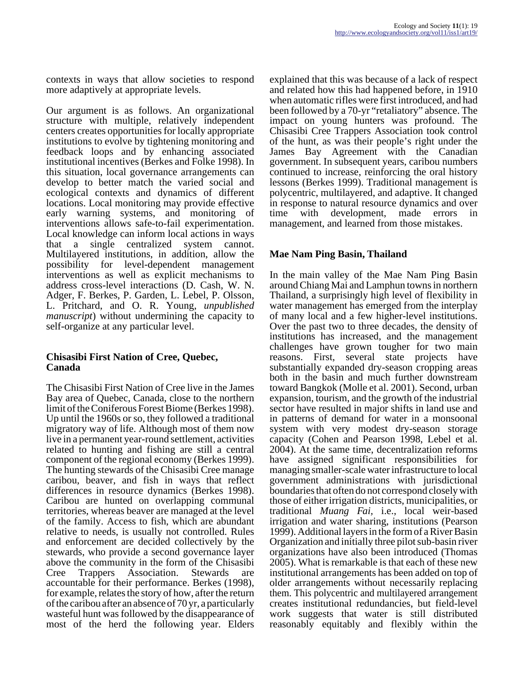contexts in ways that allow societies to respond more adaptively at appropriate levels.

Our argument is as follows. An organizational structure with multiple, relatively independent centers creates opportunities for locally appropriate institutions to evolve by tightening monitoring and feedback loops and by enhancing associated institutional incentives (Berkes and Folke 1998). In this situation, local governance arrangements can develop to better match the varied social and ecological contexts and dynamics of different locations. Local monitoring may provide effective early warning systems, and monitoring of interventions allows safe-to-fail experimentation. Local knowledge can inform local actions in ways that a single centralized system cannot. Multilayered institutions, in addition, allow the possibility for level-dependent management interventions as well as explicit mechanisms to address cross-level interactions (D. Cash, W. N. Adger, F. Berkes, P. Garden, L. Lebel, P. Olsson, L. Pritchard, and O. R. Young, *unpublished manuscript*) without undermining the capacity to self-organize at any particular level.

#### **Chisasibi First Nation of Cree, Quebec, Canada**

The Chisasibi First Nation of Cree live in the James Bay area of Quebec, Canada, close to the northern limit of the Coniferous Forest Biome (Berkes 1998). Up until the 1960s or so, they followed a traditional migratory way of life. Although most of them now live in a permanent year-round settlement, activities related to hunting and fishing are still a central component of the regional economy (Berkes 1999). The hunting stewards of the Chisasibi Cree manage caribou, beaver, and fish in ways that reflect differences in resource dynamics (Berkes 1998). Caribou are hunted on overlapping communal territories, whereas beaver are managed at the level of the family. Access to fish, which are abundant relative to needs, is usually not controlled. Rules and enforcement are decided collectively by the stewards, who provide a second governance layer above the community in the form of the Chisasibi Cree Trappers Association. Stewards are accountable for their performance. Berkes (1998), for example, relates the story of how, after the return of the caribou after an absence of 70 yr, a particularly wasteful hunt was followed by the disappearance of most of the herd the following year. Elders

explained that this was because of a lack of respect and related how this had happened before, in 1910 when automatic rifles were first introduced, and had been followed by a 70-yr "retaliatory" absence. The impact on young hunters was profound. The Chisasibi Cree Trappers Association took control of the hunt, as was their people's right under the James Bay Agreement with the Canadian government. In subsequent years, caribou numbers continued to increase, reinforcing the oral history lessons (Berkes 1999). Traditional management is polycentric, multilayered, and adaptive. It changed in response to natural resource dynamics and over time with development, made errors in management, and learned from those mistakes.

## **Mae Nam Ping Basin, Thailand**

In the main valley of the Mae Nam Ping Basin around Chiang Mai and Lamphun towns in northern Thailand, a surprisingly high level of flexibility in water management has emerged from the interplay of many local and a few higher-level institutions. Over the past two to three decades, the density of institutions has increased, and the management challenges have grown tougher for two main reasons. First, several state projects have substantially expanded dry-season cropping areas both in the basin and much further downstream toward Bangkok (Molle et al. 2001). Second, urban expansion, tourism, and the growth of the industrial sector have resulted in major shifts in land use and in patterns of demand for water in a monsoonal system with very modest dry-season storage capacity (Cohen and Pearson 1998, Lebel et al. 2004). At the same time, decentralization reforms have assigned significant responsibilities for managing smaller-scale water infrastructure to local government administrations with jurisdictional boundaries that often do not correspond closely with those of either irrigation districts, municipalities, or traditional *Muang Fai,* i.e., local weir-based irrigation and water sharing, institutions (Pearson 1999). Additional layers in the form of a River Basin Organization and initially three pilot sub-basin river organizations have also been introduced (Thomas 2005). What is remarkable is that each of these new institutional arrangements has been added on top of older arrangements without necessarily replacing them. This polycentric and multilayered arrangement creates institutional redundancies, but field-level work suggests that water is still distributed reasonably equitably and flexibly within the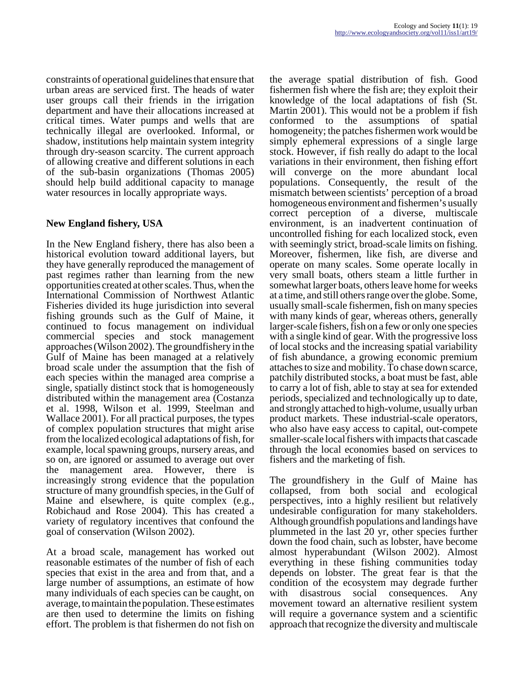constraints of operational guidelines that ensure that urban areas are serviced first. The heads of water user groups call their friends in the irrigation department and have their allocations increased at critical times. Water pumps and wells that are technically illegal are overlooked. Informal, or shadow, institutions help maintain system integrity through dry-season scarcity. The current approach of allowing creative and different solutions in each of the sub-basin organizations (Thomas 2005) should help build additional capacity to manage water resources in locally appropriate ways.

## **New England fishery, USA**

In the New England fishery, there has also been a historical evolution toward additional layers, but they have generally reproduced the management of past regimes rather than learning from the new opportunities created at other scales. Thus, when the International Commission of Northwest Atlantic Fisheries divided its huge jurisdiction into several fishing grounds such as the Gulf of Maine, it continued to focus management on individual commercial species and stock management approaches (Wilson 2002). The groundfishery in the Gulf of Maine has been managed at a relatively broad scale under the assumption that the fish of each species within the managed area comprise a single, spatially distinct stock that is homogeneously distributed within the management area (Costanza et al. 1998, Wilson et al. 1999, Steelman and Wallace 2001). For all practical purposes, the types of complex population structures that might arise from the localized ecological adaptations of fish, for example, local spawning groups, nursery areas, and so on, are ignored or assumed to average out over the management area. However, there is increasingly strong evidence that the population structure of many groundfish species, in the Gulf of Maine and elsewhere, is quite complex (e.g., Robichaud and Rose 2004). This has created a variety of regulatory incentives that confound the goal of conservation (Wilson 2002).

At a broad scale, management has worked out reasonable estimates of the number of fish of each species that exist in the area and from that, and a large number of assumptions, an estimate of how many individuals of each species can be caught, on average, to maintain the population. These estimates are then used to determine the limits on fishing effort. The problem is that fishermen do not fish on

the average spatial distribution of fish. Good fishermen fish where the fish are; they exploit their knowledge of the local adaptations of fish (St. Martin 2001). This would not be a problem if fish conformed to the assumptions of spatial homogeneity; the patches fishermen work would be simply ephemeral expressions of a single large stock. However, if fish really do adapt to the local variations in their environment, then fishing effort will converge on the more abundant local populations. Consequently, the result of the mismatch between scientists' perception of a broad homogeneous environment and fishermen's usually correct perception of a diverse, multiscale environment, is an inadvertent continuation of uncontrolled fishing for each localized stock, even with seemingly strict, broad-scale limits on fishing. Moreover, fishermen, like fish, are diverse and operate on many scales. Some operate locally in very small boats, others steam a little further in somewhat larger boats, others leave home for weeks at a time, and still others range over the globe. Some, usually small-scale fishermen, fish on many species with many kinds of gear, whereas others, generally larger-scale fishers, fish on a few or only one species with a single kind of gear. With the progressive loss of local stocks and the increasing spatial variability of fish abundance, a growing economic premium attaches to size and mobility. To chase down scarce, patchily distributed stocks, a boat must be fast, able to carry a lot of fish, able to stay at sea for extended periods, specialized and technologically up to date, and strongly attached to high-volume, usually urban product markets. These industrial-scale operators, who also have easy access to capital, out-compete smaller-scale local fishers with impacts that cascade through the local economies based on services to fishers and the marketing of fish.

The groundfishery in the Gulf of Maine has collapsed, from both social and ecological perspectives, into a highly resilient but relatively undesirable configuration for many stakeholders. Although groundfish populations and landings have plummeted in the last 20 yr, other species further down the food chain, such as lobster, have become almost hyperabundant (Wilson 2002). Almost everything in these fishing communities today depends on lobster. The great fear is that the condition of the ecosystem may degrade further with disastrous social consequences. Any movement toward an alternative resilient system will require a governance system and a scientific approach that recognize the diversity and multiscale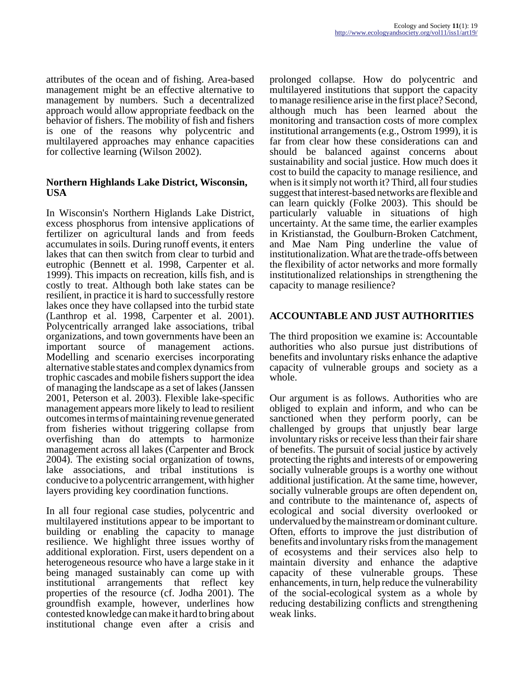attributes of the ocean and of fishing. Area-based management might be an effective alternative to management by numbers. Such a decentralized approach would allow appropriate feedback on the behavior of fishers. The mobility of fish and fishers is one of the reasons why polycentric and multilayered approaches may enhance capacities for collective learning (Wilson 2002).

#### **Northern Highlands Lake District, Wisconsin, USA**

In Wisconsin's Northern Higlands Lake District, excess phosphorus from intensive applications of fertilizer on agricultural lands and from feeds accumulates in soils. During runoff events, it enters lakes that can then switch from clear to turbid and eutrophic (Bennett et al. 1998, Carpenter et al. 1999). This impacts on recreation, kills fish, and is costly to treat. Although both lake states can be resilient, in practice it is hard to successfully restore lakes once they have collapsed into the turbid state (Lanthrop et al. 1998, Carpenter et al. 2001). Polycentrically arranged lake associations, tribal organizations, and town governments have been an important source of management actions. Modelling and scenario exercises incorporating alternative stable states and complex dynamics from trophic cascades and mobile fishers support the idea of managing the landscape as a set of lakes (Janssen 2001, Peterson et al. 2003). Flexible lake-specific management appears more likely to lead to resilient outcomes in terms of maintaining revenue generated from fisheries without triggering collapse from overfishing than do attempts to harmonize management across all lakes (Carpenter and Brock 2004). The existing social organization of towns, lake associations, and tribal institutions is conducive to a polycentric arrangement, with higher layers providing key coordination functions.

In all four regional case studies, polycentric and multilayered institutions appear to be important to building or enabling the capacity to manage resilience. We highlight three issues worthy of additional exploration. First, users dependent on a heterogeneous resource who have a large stake in it being managed sustainably can come up with institutional arrangements that reflect key properties of the resource (cf. Jodha 2001). The groundfish example, however, underlines how contested knowledge can make it hard to bring about institutional change even after a crisis and

prolonged collapse. How do polycentric and multilayered institutions that support the capacity to manage resilience arise in the first place? Second, although much has been learned about the monitoring and transaction costs of more complex institutional arrangements (e.g., Ostrom 1999), it is far from clear how these considerations can and should be balanced against concerns about sustainability and social justice. How much does it cost to build the capacity to manage resilience, and when is it simply not worth it? Third, all four studies suggest that interest-based networks are flexible and can learn quickly (Folke 2003). This should be particularly valuable in situations of high uncertainty. At the same time, the earlier examples in Kristianstad, the Goulburn-Broken Catchment, and Mae Nam Ping underline the value of institutionalization. What are the trade-offs between the flexibility of actor networks and more formally institutionalized relationships in strengthening the capacity to manage resilience?

# **ACCOUNTABLE AND JUST AUTHORITIES**

The third proposition we examine is: Accountable authorities who also pursue just distributions of benefits and involuntary risks enhance the adaptive capacity of vulnerable groups and society as a whole.

Our argument is as follows. Authorities who are obliged to explain and inform, and who can be sanctioned when they perform poorly, can be challenged by groups that unjustly bear large involuntary risks or receive less than their fair share of benefits. The pursuit of social justice by actively protecting the rights and interests of or empowering socially vulnerable groups is a worthy one without additional justification. At the same time, however, socially vulnerable groups are often dependent on, and contribute to the maintenance of, aspects of ecological and social diversity overlooked or undervalued by the mainstream or dominant culture. Often, efforts to improve the just distribution of benefits and involuntary risks from the management of ecosystems and their services also help to maintain diversity and enhance the adaptive capacity of these vulnerable groups. These enhancements, in turn, help reduce the vulnerability of the social-ecological system as a whole by reducing destabilizing conflicts and strengthening weak links.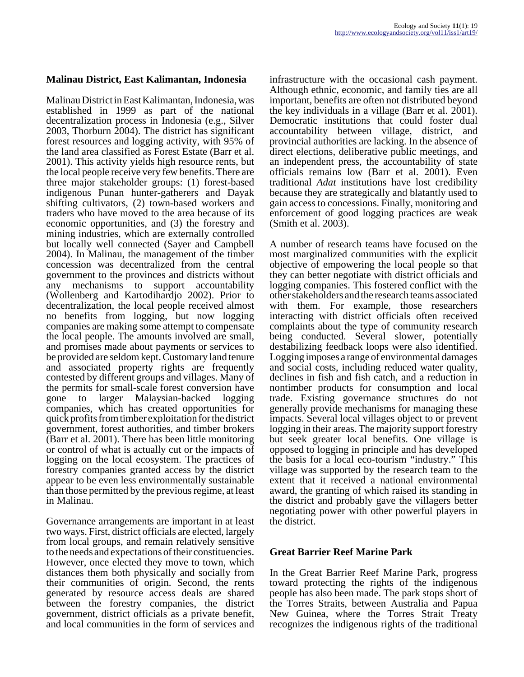#### **Malinau District, East Kalimantan, Indonesia**

Malinau District in East Kalimantan, Indonesia, was established in 1999 as part of the national decentralization process in Indonesia (e.g., Silver 2003, Thorburn 2004). The district has significant forest resources and logging activity, with 95% of the land area classified as Forest Estate (Barr et al. 2001). This activity yields high resource rents, but the local people receive very few benefits. There are three major stakeholder groups: (1) forest-based indigenous Punan hunter-gatherers and Dayak shifting cultivators, (2) town-based workers and traders who have moved to the area because of its economic opportunities, and (3) the forestry and mining industries, which are externally controlled but locally well connected (Sayer and Campbell 2004). In Malinau, the management of the timber concession was decentralized from the central government to the provinces and districts without any mechanisms to support accountability (Wollenberg and Kartodihardjo 2002). Prior to decentralization, the local people received almost no benefits from logging, but now logging companies are making some attempt to compensate the local people. The amounts involved are small, and promises made about payments or services to be provided are seldom kept. Customary land tenure and associated property rights are frequently contested by different groups and villages. Many of the permits for small-scale forest conversion have gone to larger Malaysian-backed logging companies, which has created opportunities for quick profits from timber exploitation for the district government, forest authorities, and timber brokers (Barr et al. 2001). There has been little monitoring or control of what is actually cut or the impacts of logging on the local ecosystem. The practices of forestry companies granted access by the district appear to be even less environmentally sustainable than those permitted by the previous regime, at least in Malinau.

Governance arrangements are important in at least two ways. First, district officials are elected, largely from local groups, and remain relatively sensitive to the needs and expectations of their constituencies. However, once elected they move to town, which distances them both physically and socially from their communities of origin. Second, the rents generated by resource access deals are shared between the forestry companies, the district government, district officials as a private benefit, and local communities in the form of services and

infrastructure with the occasional cash payment. Although ethnic, economic, and family ties are all important, benefits are often not distributed beyond the key individuals in a village (Barr et al. 2001). Democratic institutions that could foster dual accountability between village, district, and provincial authorities are lacking. In the absence of direct elections, deliberative public meetings, and an independent press, the accountability of state officials remains low (Barr et al. 2001). Even traditional *Adat* institutions have lost credibility because they are strategically and blatantly used to gain access to concessions. Finally, monitoring and enforcement of good logging practices are weak (Smith et al. 2003).

A number of research teams have focused on the most marginalized communities with the explicit objective of empowering the local people so that they can better negotiate with district officials and logging companies. This fostered conflict with the other stakeholders and the research teams associated with them. For example, those researchers interacting with district officials often received complaints about the type of community research being conducted. Several slower, potentially destabilizing feedback loops were also identified. Logging imposes a range of environmental damages and social costs, including reduced water quality, declines in fish and fish catch, and a reduction in nontimber products for consumption and local trade. Existing governance structures do not generally provide mechanisms for managing these impacts. Several local villages object to or prevent logging in their areas. The majority support forestry but seek greater local benefits. One village is opposed to logging in principle and has developed the basis for a local eco-tourism "industry." This village was supported by the research team to the extent that it received a national environmental award, the granting of which raised its standing in the district and probably gave the villagers better negotiating power with other powerful players in the district.

#### **Great Barrier Reef Marine Park**

In the Great Barrier Reef Marine Park, progress toward protecting the rights of the indigenous people has also been made. The park stops short of the Torres Straits, between Australia and Papua New Guinea, where the Torres Strait Treaty recognizes the indigenous rights of the traditional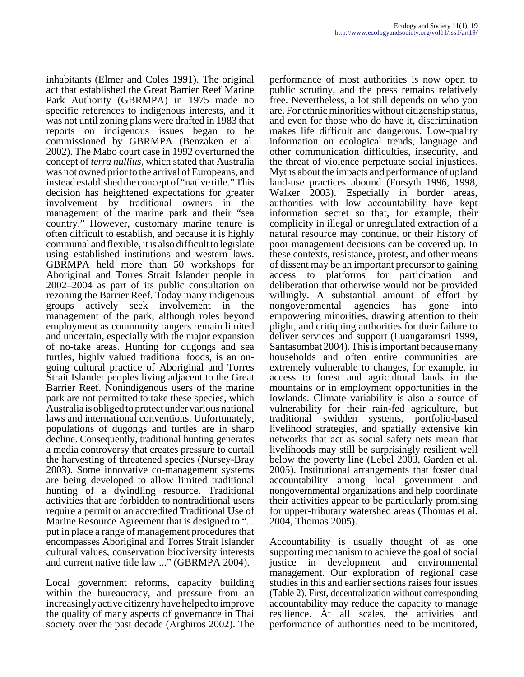inhabitants (Elmer and Coles 1991). The original act that established the Great Barrier Reef Marine Park Authority (GBRMPA) in 1975 made no specific references to indigenous interests, and it was not until zoning plans were drafted in 1983 that reports on indigenous issues began to be commissioned by GBRMPA (Benzaken et al. 2002). The Mabo court case in 1992 overturned the concept of *terra nullius,* which stated that Australia was not owned prior to the arrival of Europeans, and instead established the concept of "native title." This decision has heightened expectations for greater involvement by traditional owners in the management of the marine park and their "sea country." However, customary marine tenure is often difficult to establish, and because it is highly communal and flexible, it is also difficult to legislate using established institutions and western laws. GBRMPA held more than 50 workshops for Aboriginal and Torres Strait Islander people in 2002–2004 as part of its public consultation on rezoning the Barrier Reef. Today many indigenous groups actively seek involvement in the management of the park, although roles beyond employment as community rangers remain limited and uncertain, especially with the major expansion of no-take areas. Hunting for dugongs and sea turtles, highly valued traditional foods, is an ongoing cultural practice of Aboriginal and Torres Strait Islander peoples living adjacent to the Great Barrier Reef. Nonindigenous users of the marine park are not permitted to take these species, which Australia is obliged to protect under various national laws and international conventions. Unfortunately, populations of dugongs and turtles are in sharp decline. Consequently, traditional hunting generates a media controversy that creates pressure to curtail the harvesting of threatened species (Nursey-Bray 2003). Some innovative co-management systems are being developed to allow limited traditional hunting of a dwindling resource. Traditional activities that are forbidden to nontraditional users require a permit or an accredited Traditional Use of Marine Resource Agreement that is designed to "... put in place a range of management procedures that encompasses Aboriginal and Torres Strait Islander cultural values, conservation biodiversity interests and current native title law ..." (GBRMPA 2004).

Local government reforms, capacity building within the bureaucracy, and pressure from an increasingly active citizenry have helped to improve the quality of many aspects of governance in Thai society over the past decade (Arghiros 2002). The

performance of most authorities is now open to public scrutiny, and the press remains relatively free. Nevertheless, a lot still depends on who you are. For ethnic minorities without citizenship status, and even for those who do have it, discrimination makes life difficult and dangerous. Low-quality information on ecological trends, language and other communication difficulties, insecurity, and the threat of violence perpetuate social injustices. Myths about the impacts and performance of upland land-use practices abound (Forsyth 1996, 1998, Walker 2003). Especially in border areas, authorities with low accountability have kept information secret so that, for example, their complicity in illegal or unregulated extraction of a natural resource may continue, or their history of poor management decisions can be covered up. In these contexts, resistance, protest, and other means of dissent may be an important precursor to gaining access to platforms for participation and deliberation that otherwise would not be provided willingly. A substantial amount of effort by nongovernmental agencies has gone into empowering minorities, drawing attention to their plight, and critiquing authorities for their failure to deliver services and support (Luangaramsri 1999, Santasombat 2004). This is important because many households and often entire communities are extremely vulnerable to changes, for example, in access to forest and agricultural lands in the mountains or in employment opportunities in the lowlands. Climate variability is also a source of vulnerability for their rain-fed agriculture, but traditional swidden systems, portfolio-based livelihood strategies, and spatially extensive kin networks that act as social safety nets mean that livelihoods may still be surprisingly resilient well below the poverty line (Lebel 2003, Garden et al. 2005). Institutional arrangements that foster dual accountability among local government and nongovernmental organizations and help coordinate their activities appear to be particularly promising for upper-tributary watershed areas (Thomas et al. 2004, Thomas 2005).

Accountability is usually thought of as one supporting mechanism to achieve the goal of social justice in development and environmental management. Our exploration of regional case studies in this and earlier sections raises four issues (Table 2). First, decentralization without corresponding accountability may reduce the capacity to manage resilience. At all scales, the activities and performance of authorities need to be monitored,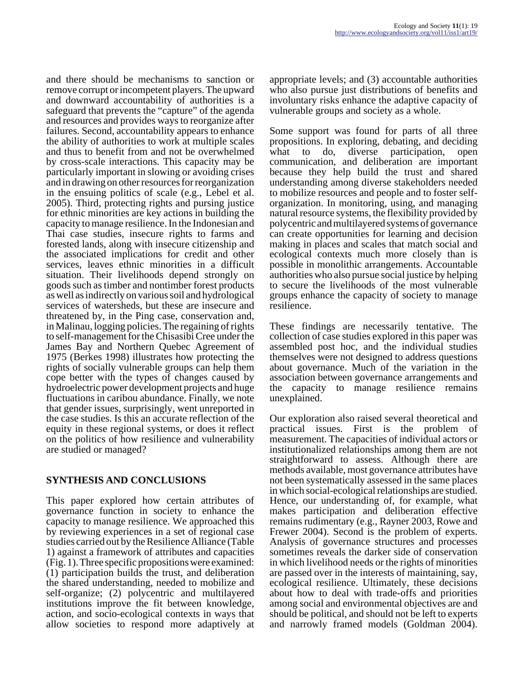and there should be mechanisms to sanction or remove corrupt or incompetent players. The upward and downward accountability of authorities is a safeguard that prevents the "capture" of the agenda and resources and provides ways to reorganize after failures. Second, accountability appears to enhance the ability of authorities to work at multiple scales and thus to benefit from and not be overwhelmed by cross-scale interactions. This capacity may be particularly important in slowing or avoiding crises and in drawing on other resources for reorganization in the ensuing politics of scale (e.g., Lebel et al. 2005). Third, protecting rights and pursing justice for ethnic minorities are key actions in building the capacity to manage resilience. In the Indonesian and Thai case studies, insecure rights to farms and forested lands, along with insecure citizenship and the associated implications for credit and other services, leaves ethnic minorities in a difficult situation. Their livelihoods depend strongly on goods such as timber and nontimber forest products as well as indirectly on various soil and hydrological services of watersheds, but these are insecure and threatened by, in the Ping case, conservation and, in Malinau, logging policies. The regaining of rights to self-management for the Chisasibi Cree under the James Bay and Northern Quebec Agreement of 1975 (Berkes 1998) illustrates how protecting the rights of socially vulnerable groups can help them cope better with the types of changes caused by hydroelectric power development projects and huge fluctuations in caribou abundance. Finally, we note that gender issues, surprisingly, went unreported in the case studies. Is this an accurate reflection of the equity in these regional systems, or does it reflect on the politics of how resilience and vulnerability are studied or managed?

# **SYNTHESIS AND CONCLUSIONS**

This paper explored how certain attributes of governance function in society to enhance the capacity to manage resilience. We approached this by reviewing experiences in a set of regional case studies carried out by the Resilience Alliance (Table 1) against a framework of attributes and capacities (Fig. 1). Three specific propositions were examined: (1) participation builds the trust, and deliberation the shared understanding, needed to mobilize and self-organize; (2) polycentric and multilayered institutions improve the fit between knowledge, action, and socio-ecological contexts in ways that allow societies to respond more adaptively at

appropriate levels; and (3) accountable authorities who also pursue just distributions of benefits and involuntary risks enhance the adaptive capacity of vulnerable groups and society as a whole.

Some support was found for parts of all three propositions. In exploring, debating, and deciding what to do, diverse participation, open communication, and deliberation are important because they help build the trust and shared understanding among diverse stakeholders needed to mobilize resources and people and to foster selforganization. In monitoring, using, and managing natural resource systems, the flexibility provided by polycentric and multilayered systems of governance can create opportunities for learning and decision making in places and scales that match social and ecological contexts much more closely than is possible in monolithic arrangements. Accountable authorities who also pursue social justice by helping to secure the livelihoods of the most vulnerable groups enhance the capacity of society to manage resilience.

These findings are necessarily tentative. The collection of case studies explored in this paper was assembled post hoc, and the individual studies themselves were not designed to address questions about governance. Much of the variation in the association between governance arrangements and the capacity to manage resilience remains unexplained.

Our exploration also raised several theoretical and practical issues. First is the problem of measurement. The capacities of individual actors or institutionalized relationships among them are not straightforward to assess. Although there are methods available, most governance attributes have not been systematically assessed in the same places in which social-ecological relationships are studied. Hence, our understanding of, for example, what makes participation and deliberation effective remains rudimentary (e.g., Rayner 2003, Rowe and Frewer 2004). Second is the problem of experts. Analysis of governance structures and processes sometimes reveals the darker side of conservation in which livelihood needs or the rights of minorities are passed over in the interests of maintaining, say, ecological resilience. Ultimately, these decisions about how to deal with trade-offs and priorities among social and environmental objectives are and should be political, and should not be left to experts and narrowly framed models (Goldman 2004).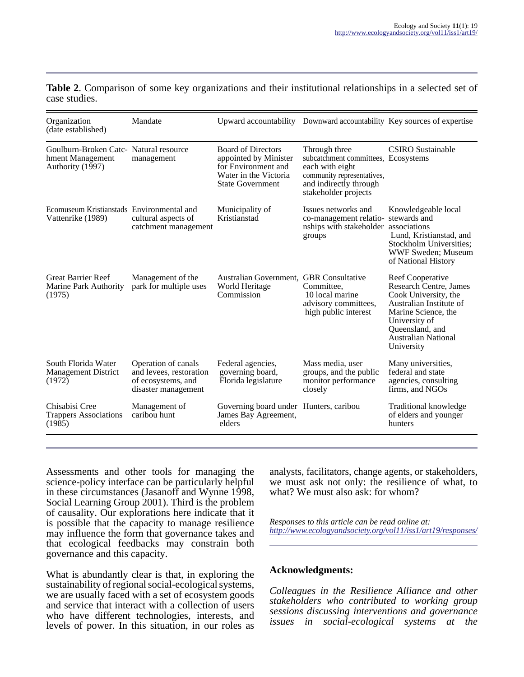**Table 2**. Comparison of some key organizations and their institutional relationships in a selected set of case studies.

| Organization<br>(date established)                                             | Mandate                                                                                     |                                                                                                                               |                                                                                                                                                         | Upward accountability Downward accountability Key sources of expertise                                                                                                                               |
|--------------------------------------------------------------------------------|---------------------------------------------------------------------------------------------|-------------------------------------------------------------------------------------------------------------------------------|---------------------------------------------------------------------------------------------------------------------------------------------------------|------------------------------------------------------------------------------------------------------------------------------------------------------------------------------------------------------|
| Goulburn-Broken Catc- Natural resource<br>hment Management<br>Authority (1997) | management                                                                                  | <b>Board of Directors</b><br>appointed by Minister<br>for Environment and<br>Water in the Victoria<br><b>State Government</b> | Through three<br>subcatchment committees, Ecosystems<br>each with eight<br>community representatives,<br>and indirectly through<br>stakeholder projects | <b>CSIRO</b> Sustainable                                                                                                                                                                             |
| Ecomuseum Kristianstads Environmental and<br>Vattenrike (1989)                 | cultural aspects of<br>catchment management                                                 | Municipality of<br>Kristianstad                                                                                               | Issues networks and<br>co-management relatio-<br>nships with stakeholder associations<br>groups                                                         | Knowledgeable local<br>stewards and<br>Lund, Kristianstad, and<br>Stockholm Universities;<br>WWF Sweden; Museum<br>of National History                                                               |
| <b>Great Barrier Reef</b><br>Marine Park Authority<br>(1975)                   | Management of the<br>park for multiple uses                                                 | Australian Government, GBR Consultative<br>World Heritage<br>Commission                                                       | Committee,<br>10 local marine<br>advisory committees,<br>high public interest                                                                           | Reef Cooperative<br>Research Centre, James<br>Cook University, the<br>Australian Institute of<br>Marine Science, the<br>University of<br>Queensland, and<br><b>Australian National</b><br>University |
| South Florida Water<br><b>Management District</b><br>(1972)                    | Operation of canals<br>and levees, restoration<br>of ecosystems, and<br>disaster management | Federal agencies,<br>governing board,<br>Florida legislature                                                                  | Mass media, user<br>groups, and the public<br>monitor performance<br>closely                                                                            | Many universities,<br>federal and state<br>agencies, consulting<br>firms, and NGOs                                                                                                                   |
| Chisabisi Cree<br><b>Trappers Associations</b><br>(1985)                       | Management of<br>caribou hunt                                                               | Governing board under Hunters, caribou<br>James Bay Agreement,<br>elders                                                      |                                                                                                                                                         | Traditional knowledge<br>of elders and younger<br>hunters                                                                                                                                            |

Assessments and other tools for managing the science-policy interface can be particularly helpful in these circumstances (Jasanoff and Wynne 1998, Social Learning Group 2001). Third is the problem of causality. Our explorations here indicate that it is possible that the capacity to manage resilience may influence the form that governance takes and that ecological feedbacks may constrain both governance and this capacity.

What is abundantly clear is that, in exploring the sustainability of regional social-ecological systems, we are usually faced with a set of ecosystem goods and service that interact with a collection of users who have different technologies, interests, and levels of power. In this situation, in our roles as

analysts, facilitators, change agents, or stakeholders, we must ask not only: the resilience of what, to what? We must also ask: for whom?

*Responses to this article can be read online at: <http://www.ecologyandsociety.org/vol11/iss1/art19/responses/>*

#### **Acknowledgments:**

*Colleagues in the Resilience Alliance and other stakeholders who contributed to working group sessions discussing interventions and governance issues in social-ecological systems at the*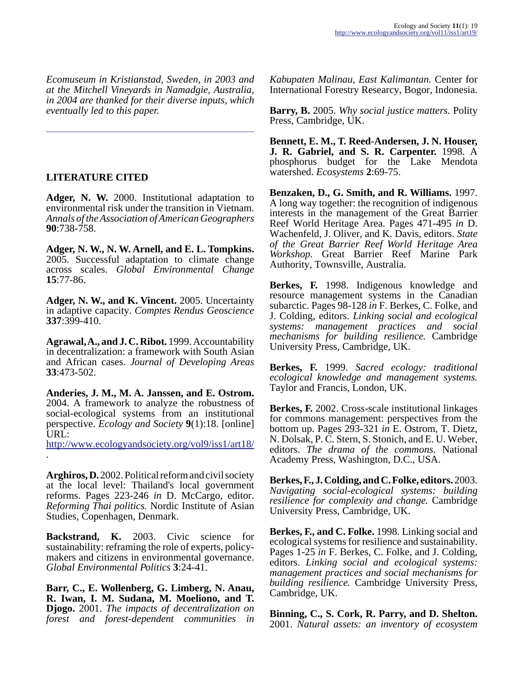*Ecomuseum in Kristianstad, Sweden, in 2003 and at the Mitchell Vineyards in Namadgie, Australia, in 2004 are thanked for their diverse inputs, which eventually led to this paper.*

# **LITERATURE CITED**

**Adger, N. W.** 2000. Institutional adaptation to environmental risk under the transition in Vietnam. *Annals of the Association of American Geographers* **90**:738-758.

**Adger, N. W., N. W. Arnell, and E. L. Tompkins.** 2005. Successful adaptation to climate change across scales. *Global Environmental Change* **15**:77-86.

**Adger, N. W., and K. Vincent.** 2005. Uncertainty in adaptive capacity. *Comptes Rendus Geoscience* **337**:399-410.

**Agrawal, A., and J. C. Ribot.** 1999. Accountability in decentralization: a framework with South Asian and African cases. *Journal of Developing Areas* **33**:473-502.

**Anderies, J. M., M. A. Janssen, and E. Ostrom.** 2004. A framework to analyze the robustness of social-ecological systems from an institutional perspective. *Ecology and Society* **9**(1):18. [online] URL:

<http://www.ecologyandsociety.org/vol9/iss1/art18/> .

**Arghiros, D.** 2002. Political reform and civil society at the local level: Thailand's local government reforms. Pages 223-246 *in* D. McCargo, editor. *Reforming Thai politics.* Nordic Institute of Asian Studies, Copenhagen, Denmark.

**Backstrand, K.** 2003. Civic science for sustainability: reframing the role of experts, policymakers and citizens in environmental governance. *Global Environmental Politics* **3**:24-41.

**Barr, C., E. Wollenberg, G. Limberg, N. Anau, R. Iwan, I. M. Sudana, M. Moeliono, and T. Djogo.** 2001. *The impacts of decentralization on forest and forest-dependent communities in* *Kabupaten Malinau, East Kalimantan.* Center for International Forestry Researcy, Bogor, Indonesia.

**Barry, B.** 2005. *Why social justice matters.* Polity Press, Cambridge, UK.

**Bennett, E. M., T. Reed-Andersen, J. N. Houser, J. R. Gabriel, and S. R. Carpenter.** 1998. A phosphorus budget for the Lake Mendota watershed. *Ecosystems* **2**:69-75.

**Benzaken, D., G. Smith, and R. Williams.** 1997. A long way together: the recognition of indigenous interests in the management of the Great Barrier Reef World Heritage Area. Pages 471-495 *in* D. Wachenfeld, J. Oliver, and K. Davis, editors. *State of the Great Barrier Reef World Heritage Area Workshop.* Great Barrier Reef Marine Park Authority, Townsville, Australia.

**Berkes, F.** 1998. Indigenous knowledge and resource management systems in the Canadian subarctic. Pages 98-128 *in* F. Berkes, C. Folke, and J. Colding, editors. *Linking social and ecological systems: management practices and social mechanisms for building resilience.* Cambridge University Press, Cambridge, UK.

**Berkes, F.** 1999. *Sacred ecology: traditional ecological knowledge and management systems.* Taylor and Francis, London, UK.

**Berkes, F.** 2002. Cross-scale institutional linkages for commons management: perspectives from the bottom up. Pages 293-321 *in* E. Ostrom, T. Dietz, N. Dolsak, P. C. Stern, S. Stonich, and E. U. Weber, editors. *The drama of the commons.* National Academy Press, Washington, D.C., USA.

**Berkes, F., J. Colding, and C. Folke, editors.** 2003. *Navigating social-ecological systems: building resilience for complexity and change.* Cambridge University Press, Cambridge, UK.

**Berkes, F., and C. Folke.** 1998. Linking social and ecological systems for resilience and sustainability. Pages 1-25 *in* F. Berkes, C. Folke, and J. Colding, editors. *Linking social and ecological systems: management practices and social mechanisms for building resilience.* Cambridge University Press, Cambridge, UK.

**Binning, C., S. Cork, R. Parry, and D. Shelton.** 2001. *Natural assets: an inventory of ecosystem*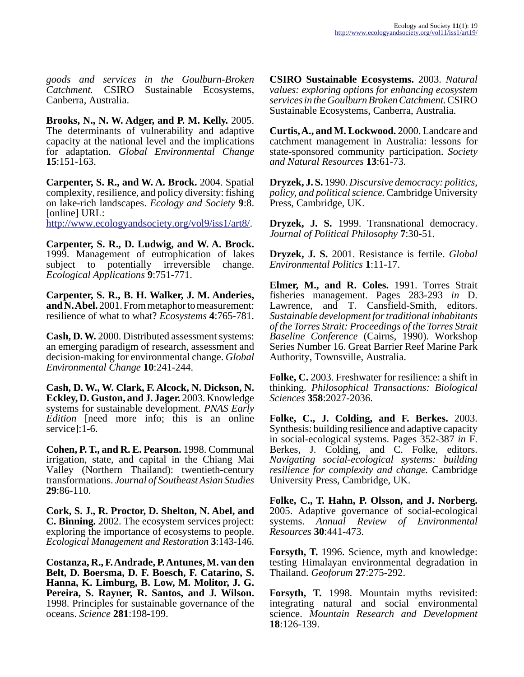*goods and services in the Goulburn-Broken Catchment.* CSIRO Sustainable Ecosystems, Canberra, Australia.

**Brooks, N., N. W. Adger, and P. M. Kelly.** 2005. The determinants of vulnerability and adaptive capacity at the national level and the implications for adaptation. *Global Environmental Change* **15**:151-163.

**Carpenter, S. R., and W. A. Brock.** 2004. Spatial complexity, resilience, and policy diversity: fishing on lake-rich landscapes. *Ecology and Society* **9**:8. [online] URL:

[http://www.ecologyandsociety.org/vol9/iss1/art8/.](http://www.ecologyandsociety.org/vol9/iss1/art8/)

**Carpenter, S. R., D. Ludwig, and W. A. Brock.** 1999. Management of eutrophication of lakes subject to potentially irreversible change. *Ecological Applications* **9**:751-771.

**Carpenter, S. R., B. H. Walker, J. M. Anderies, and N. Abel.** 2001. From metaphor to measurement: resilience of what to what? *Ecosystems* **4**:765-781.

**Cash, D. W.** 2000. Distributed assessment systems: an emerging paradigm of research, assessment and decision-making for environmental change. *Global Environmental Change* **10**:241-244.

**Cash, D. W., W. Clark, F. Alcock, N. Dickson, N. Eckley, D. Guston, and J. Jager.** 2003. Knowledge systems for sustainable development. *PNAS Early Edition* [need more info; this is an online service]:1-6.

**Cohen, P. T., and R. E. Pearson.** 1998. Communal irrigation, state, and capital in the Chiang Mai Valley (Northern Thailand): twentieth-century transformations. *Journal of Southeast Asian Studies* **29**:86-110.

**Cork, S. J., R. Proctor, D. Shelton, N. Abel, and C. Binning.** 2002. The ecosystem services project: exploring the importance of ecosystems to people. *Ecological Management and Restoration* **3**:143-146.

**Costanza, R., F. Andrade, P. Antunes, M. van den Belt, D. Boersma, D. F. Boesch, F. Catarino, S. Hanna, K. Limburg, B. Low, M. Molitor, J. G. Pereira, S. Rayner, R. Santos, and J. Wilson.** 1998. Principles for sustainable governance of the oceans. *Science* **281**:198-199.

**CSIRO Sustainable Ecosystems.** 2003. *Natural values: exploring options for enhancing ecosystem services in the Goulburn Broken Catchment.* CSIRO Sustainable Ecosystems, Canberra, Australia.

**Curtis, A., and M. Lockwood.** 2000. Landcare and catchment management in Australia: lessons for state-sponsored community participation. *Society and Natural Resources* **13**:61-73.

**Dryzek, J. S.** 1990. *Discursive democracy: politics, policy, and political science.* Cambridge University Press, Cambridge, UK.

**Dryzek, J. S.** 1999. Transnational democracy. *Journal of Political Philosophy* **7**:30-51.

**Dryzek, J. S.** 2001. Resistance is fertile. *Global Environmental Politics* **1**:11-17.

**Elmer, M., and R. Coles.** 1991. Torres Strait fisheries management. Pages 283-293 *in* D. Lawrence, and T. Cansfield-Smith, editors. *Sustainable development for traditional inhabitants of the Torres Strait: Proceedings of the Torres Strait Baseline Conference* (Cairns, 1990). Workshop Series Number 16. Great Barrier Reef Marine Park Authority, Townsville, Australia.

**Folke, C.** 2003. Freshwater for resilience: a shift in thinking. *Philosophical Transactions: Biological Sciences* **358**:2027-2036.

**Folke, C., J. Colding, and F. Berkes.** 2003. Synthesis: building resilience and adaptive capacity in social-ecological systems. Pages 352-387 *in* F. Berkes, J. Colding, and C. Folke, editors. *Navigating social-ecological systems: building resilience for complexity and change.* Cambridge University Press, Cambridge, UK.

**Folke, C., T. Hahn, P. Olsson, and J. Norberg.** 2005. Adaptive governance of social-ecological systems. *Annual Review of Environmental Resources* **30**:441-473.

**Forsyth, T.** 1996. Science, myth and knowledge: testing Himalayan environmental degradation in Thailand. *Geoforum* **27**:275-292.

**Forsyth, T.** 1998. Mountain myths revisited: integrating natural and social environmental science. *Mountain Research and Development* **18**:126-139.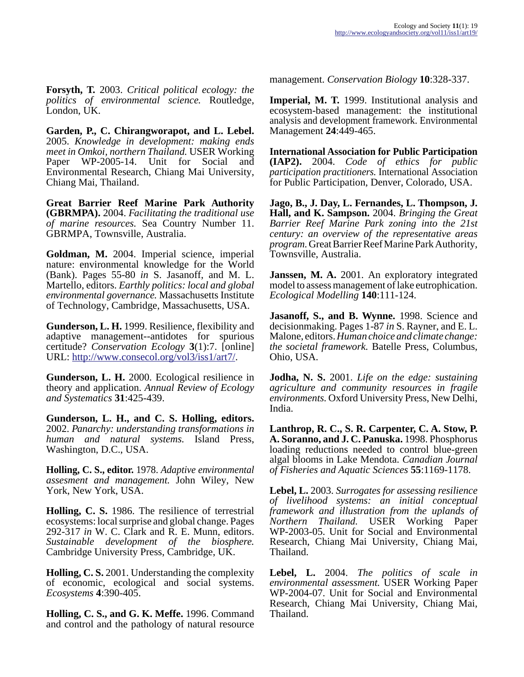**Forsyth, T.** 2003. *Critical political ecology: the politics of environmental science.* Routledge, London, UK.

**Garden, P., C. Chirangworapot, and L. Lebel.** 2005. *Knowledge in development: making ends meet in Omkoi, northern Thailand.* USER Working Paper WP-2005-14. Unit for Social and Environmental Research, Chiang Mai University, Chiang Mai, Thailand.

**Great Barrier Reef Marine Park Authority (GBRMPA).** 2004. *Facilitating the traditional use of marine resources.* Sea Country Number 11. GBRMPA, Townsville, Australia.

**Goldman, M.** 2004. Imperial science, imperial nature: environmental knowledge for the World (Bank). Pages 55-80 *in* S. Jasanoff, and M. L. Martello, editors. *Earthly politics: local and global environmental governance.* Massachusetts Institute of Technology, Cambridge, Massachusetts, USA.

**Gunderson, L. H.** 1999. Resilience, flexibility and adaptive management--antidotes for spurious certitude? *Conservation Ecology* **3**(1):7. [online] URL: <http://www.consecol.org/vol3/iss1/art7/>.

**Gunderson, L. H.** 2000. Ecological resilience in theory and application. *Annual Review of Ecology and Systematics* **31**:425-439.

**Gunderson, L. H., and C. S. Holling, editors.** 2002. *Panarchy: understanding transformations in human and natural systems.* Island Press, Washington, D.C., USA.

**Holling, C. S., editor.** 1978. *Adaptive environmental assesment and management.* John Wiley, New York, New York, USA.

**Holling, C. S.** 1986. The resilience of terrestrial ecosystems: local surprise and global change. Pages 292-317 *in* W. C. Clark and R. E. Munn, editors. *Sustainable development of the biosphere.* Cambridge University Press, Cambridge, UK.

**Holling, C. S.** 2001. Understanding the complexity of economic, ecological and social systems. *Ecosystems* **4**:390-405.

**Holling, C. S., and G. K. Meffe.** 1996. Command and control and the pathology of natural resource

management. *Conservation Biology* **10**:328-337.

**Imperial, M. T.** 1999. Institutional analysis and ecosystem-based management: the institutional analysis and development framework. Environmental Management **24**:449-465.

**International Association for Public Participation (IAP2).** 2004. *Code of ethics for public participation practitioners.* International Association for Public Participation, Denver, Colorado, USA.

**Jago, B., J. Day, L. Fernandes, L. Thompson, J. Hall, and K. Sampson.** 2004. *Bringing the Great Barrier Reef Marine Park zoning into the 21st century: an overview of the representative areas program.* Great Barrier Reef Marine Park Authority, Townsville, Australia.

**Janssen, M. A.** 2001. An exploratory integrated model to assess management of lake eutrophication. *Ecological Modelling* **140**:111-124.

**Jasanoff, S., and B. Wynne.** 1998. Science and decisionmaking. Pages 1-87 *in* S. Rayner, and E. L. Malone, editors. *Human choice and climate change: the societal framework.* Batelle Press, Columbus, Ohio, USA.

**Jodha, N. S.** 2001. *Life on the edge: sustaining agriculture and community resources in fragile environments.* Oxford University Press, New Delhi, India.

**Lanthrop, R. C., S. R. Carpenter, C. A. Stow, P. A. Soranno, and J. C. Panuska.** 1998. Phosphorus loading reductions needed to control blue-green algal blooms in Lake Mendota. *Canadian Journal of Fisheries and Aquatic Sciences* **55**:1169-1178.

**Lebel, L.** 2003. *Surrogates for assessing resilience of livelihood systems: an initial conceptual framework and illustration from the uplands of Northern Thailand.* USER Working Paper WP-2003-05. Unit for Social and Environmental Research, Chiang Mai University, Chiang Mai, Thailand.

**Lebel, L.** 2004. *The politics of scale in environmental assessment.* USER Working Paper WP-2004-07. Unit for Social and Environmental Research, Chiang Mai University, Chiang Mai, Thailand.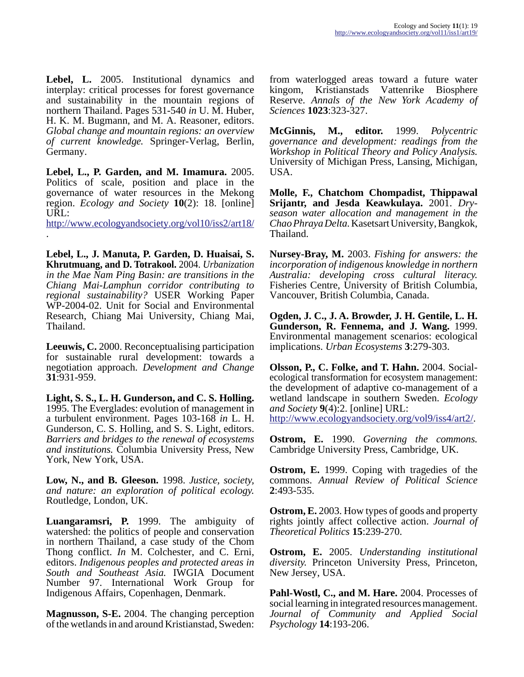**Lebel, L.** 2005. Institutional dynamics and interplay: critical processes for forest governance and sustainability in the mountain regions of northern Thailand. Pages 531-540 *in* U. M. Huber, H. K. M. Bugmann, and M. A. Reasoner, editors. *Global change and mountain regions: an overview of current knowledge.* Springer-Verlag, Berlin, Germany.

**Lebel, L., P. Garden, and M. Imamura.** 2005. Politics of scale, position and place in the governance of water resources in the Mekong region. *Ecology and Society* **10**(2): 18. [online] URL:

<http://www.ecologyandsociety.org/vol10/iss2/art18/> .

**Lebel, L., J. Manuta, P. Garden, D. Huaisai, S. Khrutmuang, and D. Totrakool.** 2004. *Urbanization in the Mae Nam Ping Basin: are transitions in the Chiang Mai-Lamphun corridor contributing to regional sustainability?* USER Working Paper WP-2004-02. Unit for Social and Environmental Research, Chiang Mai University, Chiang Mai, Thailand.

**Leeuwis, C.** 2000. Reconceptualising participation for sustainable rural development: towards a negotiation approach. *Development and Change* **31**:931-959.

**Light, S. S., L. H. Gunderson, and C. S. Holling.** 1995. The Everglades: evolution of management in a turbulent environment. Pages 103-168 *in* L. H. Gunderson, C. S. Holling, and S. S. Light, editors. *Barriers and bridges to the renewal of ecosystems and institutions.* Columbia University Press, New York, New York, USA.

**Low, N., and B. Gleeson.** 1998. *Justice, society, and nature: an exploration of political ecology.* Routledge, London, UK.

**Luangaramsri, P.** 1999. The ambiguity of watershed: the politics of people and conservation in northern Thailand, a case study of the Chom Thong conflict. *In* M. Colchester, and C. Erni, editors. *Indigenous peoples and protected areas in South and Southeast Asia.* IWGIA Document Number 97. International Work Group for Indigenous Affairs, Copenhagen, Denmark.

**Magnusson, S-E.** 2004. The changing perception of the wetlands in and around Kristianstad, Sweden:

from waterlogged areas toward a future water kingom, Kristianstads Vattenrike Biosphere Reserve. *Annals of the New York Academy of Sciences* **1023**:323-327.

**McGinnis, M., editor.** 1999. *Polycentric governance and development: readings from the Workshop in Political Theory and Policy Analysis.* University of Michigan Press, Lansing, Michigan, USA.

**Molle, F., Chatchom Chompadist, Thippawal Srijantr, and Jesda Keawkulaya.** 2001. *Dryseason water allocation and management in the Chao Phraya Delta.* Kasetsart University, Bangkok, Thailand.

**Nursey-Bray, M.** 2003. *Fishing for answers: the incorporation of indigenous knowledge in northern Australia: developing cross cultural literacy.* Fisheries Centre, University of British Columbia, Vancouver, British Columbia, Canada.

**Ogden, J. C., J. A. Browder, J. H. Gentile, L. H. Gunderson, R. Fennema, and J. Wang.** 1999. Environmental management scenarios: ecological implications. *Urban Ecosystems* **3**:279-303.

**Olsson, P., C. Folke, and T. Hahn.** 2004. Socialecological transformation for ecosystem management: the development of adaptive co-management of a wetland landscape in southern Sweden. *Ecology and Society* **9**(4):2. [online] URL: [http://www.ecologyandsociety.org/vol9/iss4/art2/.](http://www.ecologyandsociety.org/vol9/iss4/art2/)

**Ostrom, E.** 1990. *Governing the commons.* Cambridge University Press, Cambridge, UK.

**Ostrom, E.** 1999. Coping with tragedies of the commons. *Annual Review of Political Science* **2**:493-535.

**Ostrom, E.** 2003. How types of goods and property rights jointly affect collective action. *Journal of Theoretical Politics* **15**:239-270.

**Ostrom, E.** 2005. *Understanding institutional diversity.* Princeton University Press, Princeton, New Jersey, USA.

**Pahl-Wostl, C., and M. Hare.** 2004. Processes of social learning in integrated resources management. *Journal of Community and Applied Social Psychology* **14**:193-206.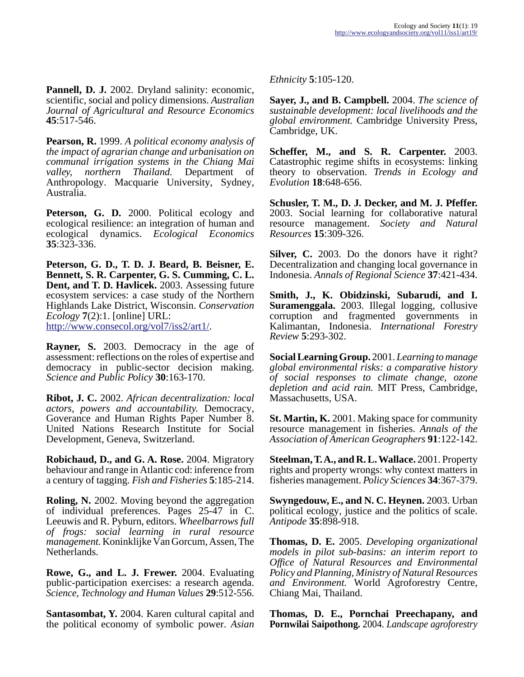Pannell, D. J. 2002. Dryland salinity: economic, scientific, social and policy dimensions. *Australian Journal of Agricultural and Resource Economics* **45**:517-546.

**Pearson, R.** 1999. *A political economy analysis of the impact of agrarian change and urbanisation on communal irrigation systems in the Chiang Mai valley, northern Thailand.* Department of Anthropology. Macquarie University, Sydney, Australia.

**Peterson, G. D.** 2000. Political ecology and ecological resilience: an integration of human and ecological dynamics. *Ecological Economics* **35**:323-336.

**Peterson, G. D., T. D. J. Beard, B. Beisner, E. Bennett, S. R. Carpenter, G. S. Cumming, C. L. Dent, and T. D. Havlicek.** 2003. Assessing future ecosystem services: a case study of the Northern Highlands Lake District, Wisconsin. *Conservation Ecology* **7**(2):1. [online] URL: [http://www.consecol.org/vol7/iss2/art1/.](http://www.consecol.org/vol7/iss2/art1/)

**Rayner, S.** 2003. Democracy in the age of assessment: reflections on the roles of expertise and democracy in public-sector decision making. *Science and Public Policy* **30**:163-170.

**Ribot, J. C.** 2002. *African decentralization: local actors, powers and accountability.* Democracy, Goverance and Human Rights Paper Number 8. United Nations Research Institute for Social Development, Geneva, Switzerland.

**Robichaud, D., and G. A. Rose.** 2004. Migratory behaviour and range in Atlantic cod: inference from a century of tagging. *Fish and Fisheries* **5**:185-214.

**Roling, N.** 2002. Moving beyond the aggregation of individual preferences. Pages 25-47 in C. Leeuwis and R. Pyburn, editors. *Wheelbarrows full of frogs: social learning in rural resource management.* Koninklijke Van Gorcum, Assen, The Netherlands.

**Rowe, G., and L. J. Frewer.** 2004. Evaluating public-participation exercises: a research agenda. *Science, Technology and Human Values* **29**:512-556.

**Santasombat, Y.** 2004. Karen cultural capital and the political economy of symbolic power. *Asian*

*Ethnicity* **5**:105-120.

**Sayer, J., and B. Campbell.** 2004. *The science of sustainable development: local livelihoods and the global environment.* Cambridge University Press, Cambridge, UK.

**Scheffer, M., and S. R. Carpenter.** 2003. Catastrophic regime shifts in ecosystems: linking theory to observation. *Trends in Ecology and Evolution* **18**:648-656.

**Schusler, T. M., D. J. Decker, and M. J. Pfeffer.** 2003. Social learning for collaborative natural resource management. *Society and Natural Resources* **15**:309-326.

**Silver, C.** 2003. Do the donors have it right? Decentralization and changing local governance in Indonesia. *Annals of Regional Science* **37**:421-434.

**Smith, J., K. Obidzinski, Subarudi, and I. Suramenggala.** 2003. Illegal logging, collusive corruption and fragmented governments in Kalimantan, Indonesia. *International Forestry Review* **5**:293-302.

**Social Learning Group.** 2001. *Learning to manage global environmental risks: a comparative history of social responses to climate change, ozone depletion and acid rain.* MIT Press, Cambridge, Massachusetts, USA.

**St. Martin, K.** 2001. Making space for community resource management in fisheries. *Annals of the Association of American Geographers* **91**:122-142.

**Steelman, T. A., and R. L. Wallace.** 2001. Property rights and property wrongs: why context matters in fisheries management. *Policy Sciences* **34**:367-379.

**Swyngedouw, E., and N. C. Heynen.** 2003. Urban political ecology, justice and the politics of scale. *Antipode* **35**:898-918.

**Thomas, D. E.** 2005. *Developing organizational models in pilot sub-basins: an interim report to Office of Natural Resources and Environmental Policy and Planning, Ministry of Natural Resources and Environment.* World Agroforestry Centre, Chiang Mai, Thailand.

**Thomas, D. E., Pornchai Preechapany, and Pornwilai Saipothong.** 2004. *Landscape agroforestry*